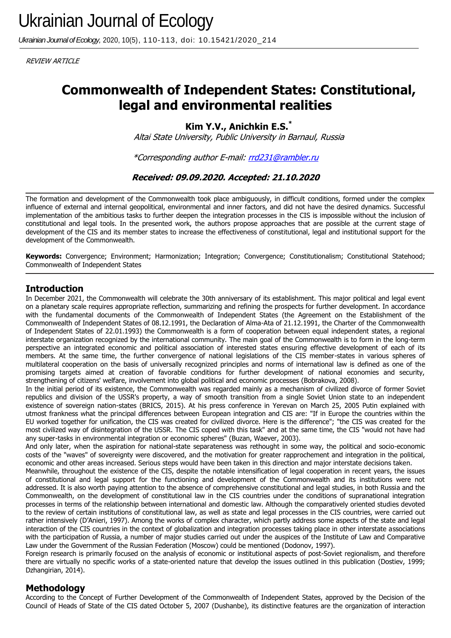*Ukrainian Journal of Ecology,* 2020, 10(5), 110-113, doi: 10.15421/2020\_214

REVIEW ARTICLE

# **Commonwealth of Independent States: Constitutional, legal and environmental realities**

**Kim Y.V., Anichkin E.S.\***

Altai State University, Public University in Barnaul, Russia

\*Corresponding author E-mail: [rrd231@rambler.ru](mailto:rrd231@rambler.ru)

**Received: 09.09.2020. Accepted: 21.10.2020**

The formation and development of the Commonwealth took place ambiguously, in difficult conditions, formed under the complex influence of external and internal geopolitical, environmental and inner factors, and did not have the desired dynamics. Successful implementation of the ambitious tasks to further deepen the integration processes in the CIS is impossible without the inclusion of constitutional and legal tools. In the presented work, the authors propose approaches that are possible at the current stage of development of the CIS and its member states to increase the effectiveness of constitutional, legal and institutional support for the development of the Commonwealth.

**Keywords:** Convergence; Environment; Harmonization; Integration; Convergence; Constitutionalism; Constitutional Statehood; Commonwealth of Independent States

## **Introduction**

In December 2021, the Commonwealth will celebrate the 30th anniversary of its establishment. This major political and legal event on a planetary scale requires appropriate reflection, summarizing and refining the prospects for further development. In accordance with the fundamental documents of the Commonwealth of Independent States (the Agreement on the Establishment of the Commonwealth of Independent States of 08.12.1991, the Declaration of Alma-Ata of 21.12.1991, the Charter of the Commonwealth of Independent States of 22.01.1993) the Commonwealth is a form of cooperation between equal independent states, a regional interstate organization recognized by the international community. The main goal of the Commonwealth is to form in the long-term perspective an integrated economic and political association of interested states ensuring effective development of each of its members. At the same time, the further convergence of national legislations of the CIS member-states in various spheres of multilateral cooperation on the basis of universally recognized principles and norms of international law is defined as one of the promising targets aimed at creation of favorable conditions for further development of national economies and security, strengthening of citizens' welfare, involvement into global political and economic processes (Bobrakova, 2008).

In the initial period of its existence, the Commonwealth was regarded mainly as a mechanism of civilized divorce of former Soviet republics and division of the USSR's property, a way of smooth transition from a single Soviet Union state to an independent existence of sovereign nation-states (BRICS, 2015). At his press conference in Yerevan on March 25, 2005 Putin explained with utmost frankness what the principal differences between European integration and CIS are: "If in Europe the countries within the EU worked together for unification, the CIS was created for civilized divorce. Here is the difference"; "the CIS was created for the most civilized way of disintegration of the USSR. The CIS coped with this task" and at the same time, the CIS "would not have had any super-tasks in environmental integration or economic spheres" (Buzan, Waever, 2003).

And only later, when the aspiration for national-state separateness was rethought in some way, the political and socio-economic costs of the "waves" of sovereignty were discovered, and the motivation for greater rapprochement and integration in the political, economic and other areas increased. Serious steps would have been taken in this direction and major interstate decisions taken.

Meanwhile, throughout the existence of the CIS, despite the notable intensification of legal cooperation in recent years, the issues of constitutional and legal support for the functioning and development of the Commonwealth and its institutions were not addressed. It is also worth paying attention to the absence of comprehensive constitutional and legal studies, in both Russia and the Commonwealth, on the development of constitutional law in the CIS countries under the conditions of supranational integration processes in terms of the relationship between international and domestic law. Although the comparatively oriented studies devoted to the review of certain institutions of constitutional law, as well as state and legal processes in the CIS countries, were carried out rather intensively (D'Anieri, 1997). Among the works of complex character, which partly address some aspects of the state and legal interaction of the CIS countries in the context of globalization and integration processes taking place in other interstate associations with the participation of Russia, a number of major studies carried out under the auspices of the Institute of Law and Comparative Law under the Government of the Russian Federation (Moscow) could be mentioned (Dodonov, 1997).

Foreign research is primarily focused on the analysis of economic or institutional aspects of post-Soviet regionalism, and therefore there are virtually no specific works of a state-oriented nature that develop the issues outlined in this publication (Dostiev, 1999; Dzhangirian, 2014).

### **Methodology**

According to the Concept of Further Development of the Commonwealth of Independent States, approved by the Decision of the Council of Heads of State of the CIS dated October 5, 2007 (Dushanbe), its distinctive features are the organization of interaction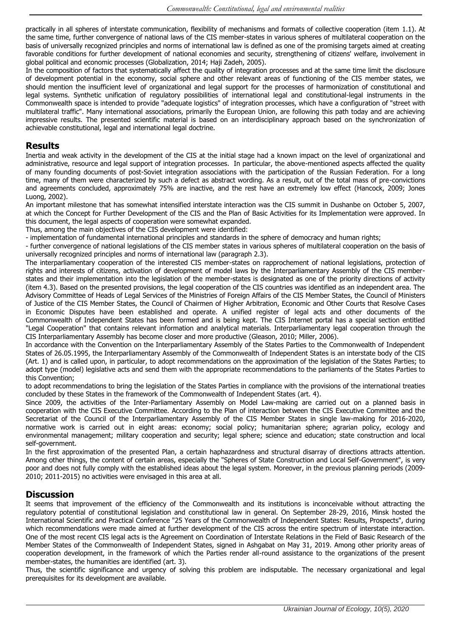practically in all spheres of interstate communication, flexibility of mechanisms and formats of collective cooperation (item 1.1). At the same time, further convergence of national laws of the CIS member-states in various spheres of multilateral cooperation on the basis of universally recognized principles and norms of international law is defined as one of the promising targets aimed at creating favorable conditions for further development of national economies and security, strengthening of citizens' welfare, involvement in global political and economic processes (Globalization, 2014; Haji Zadeh, 2005).

In the composition of factors that systematically affect the quality of integration processes and at the same time limit the disclosure of development potential in the economy, social sphere and other relevant areas of functioning of the CIS member states, we should mention the insufficient level of organizational and legal support for the processes of harmonization of constitutional and legal systems. Synthetic unification of regulatory possibilities of international legal and constitutional-legal instruments in the Commonwealth space is intended to provide "adequate logistics" of integration processes, which have a configuration of "street with multilateral traffic". Many international associations, primarily the European Union, are following this path today and are achieving impressive results. The presented scientific material is based on an interdisciplinary approach based on the synchronization of achievable constitutional, legal and international legal doctrine.

#### **Results**

Inertia and weak activity in the development of the CIS at the initial stage had a known impact on the level of organizational and administrative, resource and legal support of integration processes. In particular, the above-mentioned aspects affected the quality of many founding documents of post-Soviet integration associations with the participation of the Russian Federation. For a long time, many of them were characterized by such a defect as abstract wording. As a result, out of the total mass of pre-convictions and agreements concluded, approximately 75% are inactive, and the rest have an extremely low effect (Hancock, 2009; Jones Luong, 2002).

An important milestone that has somewhat intensified interstate interaction was the CIS summit in Dushanbe on October 5, 2007, at which the Concept for Further Development of the CIS and the Plan of Basic Activities for its Implementation were approved. In this document, the legal aspects of cooperation were somewhat expanded.

Thus, among the main objectives of the CIS development were identified:

- implementation of fundamental international principles and standards in the sphere of democracy and human rights;

- further convergence of national legislations of the CIS member states in various spheres of multilateral cooperation on the basis of universally recognized principles and norms of international law (paragraph 2.3).

The interparliamentary cooperation of the interested CIS member-states on rapprochement of national legislations, protection of rights and interests of citizens, activation of development of model laws by the Interparliamentary Assembly of the CIS memberstates and their implementation into the legislation of the member-states is designated as one of the priority directions of activity (item 4.3). Based on the presented provisions, the legal cooperation of the CIS countries was identified as an independent area. The Advisory Committee of Heads of Legal Services of the Ministries of Foreign Affairs of the CIS Member States, the Council of Ministers of Justice of the CIS Member States, the Council of Chairmen of Higher Arbitration, Economic and Other Courts that Resolve Cases in Economic Disputes have been established and operate. A unified register of legal acts and other documents of the Commonwealth of Independent States has been formed and is being kept. The CIS Internet portal has a special section entitled "Legal Cooperation" that contains relevant information and analytical materials. Interparliamentary legal cooperation through the CIS Interparliamentary Assembly has become closer and more productive (Gleason, 2010; Miller, 2006).

In accordance with the Convention on the Interparliamentary Assembly of the States Parties to the Commonwealth of Independent States of 26.05.1995, the Interparliamentary Assembly of the Commonwealth of Independent States is an interstate body of the CIS (Art. 1) and is called upon, in particular, to adopt recommendations on the approximation of the legislation of the States Parties; to adopt type (model) legislative acts and send them with the appropriate recommendations to the parliaments of the States Parties to this Convention;

to adopt recommendations to bring the legislation of the States Parties in compliance with the provisions of the international treaties concluded by these States in the framework of the Commonwealth of Independent States (art. 4).

Since 2009, the activities of the Inter-Parliamentary Assembly on Model Law-making are carried out on a planned basis in cooperation with the CIS Executive Committee. According to the Plan of interaction between the CIS Executive Committee and the Secretariat of the Council of the Interparliamentary Assembly of the CIS Member States in single law-making for 2016-2020, normative work is carried out in eight areas: economy; social policy; humanitarian sphere; agrarian policy, ecology and environmental management; military cooperation and security; legal sphere; science and education; state construction and local self-government.

In the first approximation of the presented Plan, a certain haphazardness and structural disarray of directions attracts attention. Among other things, the content of certain areas, especially the "Spheres of State Construction and Local Self-Government", is very poor and does not fully comply with the established ideas about the legal system. Moreover, in the previous planning periods (2009- 2010; 2011-2015) no activities were envisaged in this area at all.

### **Discussion**

It seems that improvement of the efficiency of the Commonwealth and its institutions is inconceivable without attracting the regulatory potential of constitutional legislation and constitutional law in general. On September 28-29, 2016, Minsk hosted the International Scientific and Practical Conference "25 Years of the Commonwealth of Independent States: Results, Prospects", during which recommendations were made aimed at further development of the CIS across the entire spectrum of interstate interaction. One of the most recent CIS legal acts is the Agreement on Coordination of Interstate Relations in the Field of Basic Research of the Member States of the Commonwealth of Independent States, signed in Ashgabat on May 31, 2019. Among other priority areas of cooperation development, in the framework of which the Parties render all-round assistance to the organizations of the present member-states, the humanities are identified (art. 3).

Thus, the scientific significance and urgency of solving this problem are indisputable. The necessary organizational and legal prerequisites for its development are available.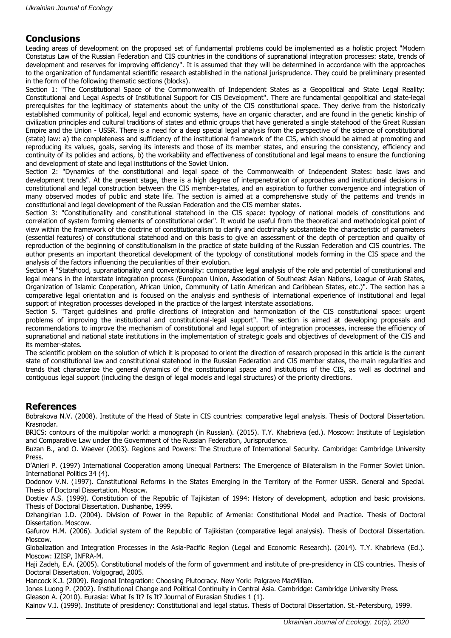# **Conclusions**

Leading areas of development on the proposed set of fundamental problems could be implemented as a holistic project "Modern Constatus Law of the Russian Federation and CIS countries in the conditions of supranational integration processes: state, trends of development and reserves for improving efficiency". It is assumed that they will be determined in accordance with the approaches to the organization of fundamental scientific research established in the national jurisprudence. They could be preliminary presented in the form of the following thematic sections (blocks).

Section 1: "The Constitutional Space of the Commonwealth of Independent States as a Geopolitical and State Legal Reality: Constitutional and Legal Aspects of Institutional Support for CIS Development". There are fundamental geopolitical and state-legal prerequisites for the legitimacy of statements about the unity of the CIS constitutional space. They derive from the historically established community of political, legal and economic systems, have an organic character, and are found in the genetic kinship of civilization principles and cultural traditions of states and ethnic groups that have generated a single statehood of the Great Russian Empire and the Union - USSR. There is a need for a deep special legal analysis from the perspective of the science of constitutional (state) law: a) the completeness and sufficiency of the institutional framework of the CIS, which should be aimed at promoting and reproducing its values, goals, serving its interests and those of its member states, and ensuring the consistency, efficiency and continuity of its policies and actions, b) the workability and effectiveness of constitutional and legal means to ensure the functioning and development of state and legal institutions of the Soviet Union.

Section 2: "Dynamics of the constitutional and legal space of the Commonwealth of Independent States: basic laws and development trends". At the present stage, there is a high degree of interpenetration of approaches and institutional decisions in constitutional and legal construction between the CIS member-states, and an aspiration to further convergence and integration of many observed modes of public and state life. The section is aimed at a comprehensive study of the patterns and trends in constitutional and legal development of the Russian Federation and the CIS member states.

Section 3: "Constitutionality and constitutional statehood in the CIS space: typology of national models of constitutions and correlation of system forming elements of constitutional order". It would be useful from the theoretical and methodological point of view within the framework of the doctrine of constitutionalism to clarify and doctrinally substantiate the characteristic of parameters (essential features) of constitutional statehood and on this basis to give an assessment of the depth of perception and quality of reproduction of the beginning of constitutionalism in the practice of state building of the Russian Federation and CIS countries. The author presents an important theoretical development of the typology of constitutional models forming in the CIS space and the analysis of the factors influencing the peculiarities of their evolution.

Section 4 "Statehood, supranationality and conventionality: comparative legal analysis of the role and potential of constitutional and legal means in the interstate integration process (European Union, Association of Southeast Asian Nations, League of Arab States, Organization of Islamic Cooperation, African Union, Community of Latin American and Caribbean States, etc.)". The section has a comparative legal orientation and is focused on the analysis and synthesis of international experience of institutional and legal support of integration processes developed in the practice of the largest interstate associations.

Section 5. "Target guidelines and profile directions of integration and harmonization of the CIS constitutional space: urgent problems of improving the institutional and constitutional-legal support". The section is aimed at developing proposals and recommendations to improve the mechanism of constitutional and legal support of integration processes, increase the efficiency of supranational and national state institutions in the implementation of strategic goals and objectives of development of the CIS and its member-states.

The scientific problem on the solution of which it is proposed to orient the direction of research proposed in this article is the current state of constitutional law and constitutional statehood in the Russian Federation and CIS member states, the main regularities and trends that characterize the general dynamics of the constitutional space and institutions of the CIS, as well as doctrinal and contiguous legal support (including the design of legal models and legal structures) of the priority directions.

### **References**

Bobrakova N.V. (2008). Institute of the Head of State in CIS countries: comparative legal analysis. Thesis of Doctoral Dissertation. Krasnodar.

BRICS: contours of the multipolar world: a monograph (in Russian). (2015). T.Y. Khabrieva (ed.). Moscow: Institute of Legislation and Comparative Law under the Government of the Russian Federation, Jurisprudence.

Buzan B., and O. Waever (2003). Regions and Powers: The Structure of International Security. Cambridge: Cambridge University Press.

D'Anieri P. (1997) International Cooperation among Unequal Partners: The Emergence of Bilateralism in the Former Soviet Union. International Politics 34 (4).

Dodonov V.N. (1997). Constitutional Reforms in the States Emerging in the Territory of the Former USSR. General and Special. Thesis of Doctoral Dissertation. Мosocw.

Dostiev A.S. (1999). Constitution of the Republic of Tajikistan of 1994: History of development, adoption and basic provisions. Thesis of Doctoral Dissertation. Dushanbe, 1999.

Dzhangirian J.D. (2004). Division of Power in the Republic of Armenia: Constitutional Model and Practice. Thesis of Doctoral Dissertation. Мoscow.

Gafurov H.M. (2006). Judicial system of the Republic of Tajikistan (comparative legal analysis). Thesis of Doctoral Dissertation. Мoscow.

Globalization and Integration Processes in the Asia-Pacific Region (Legal and Economic Research). (2014). T.Y. Khabrieva (Ed.). Moscow: IZISP, INFRA-M.

Haji Zadeh, E.A. (2005). Constitutional models of the form of government and institute of pre-presidency in CIS countries. Thesis of Doctoral Dissertation. Volgograd, 2005.

Hancock K.J. (2009). Regional Integration: Choosing Plutocracy. New York: Palgrave MacMillan.

Jones Luong P. (2002). Institutional Change and Political Continuity in Central Asia. Cambridge: Cambridge University Press.

Gleason A. (2010). Eurasia: What Is It? Is It? Journal of Eurasian Studies 1 (1).

Kainov V.I. (1999). Institute of presidency: Constitutional and legal status. Thesis of Doctoral Dissertation. St.-Petersburg, 1999.